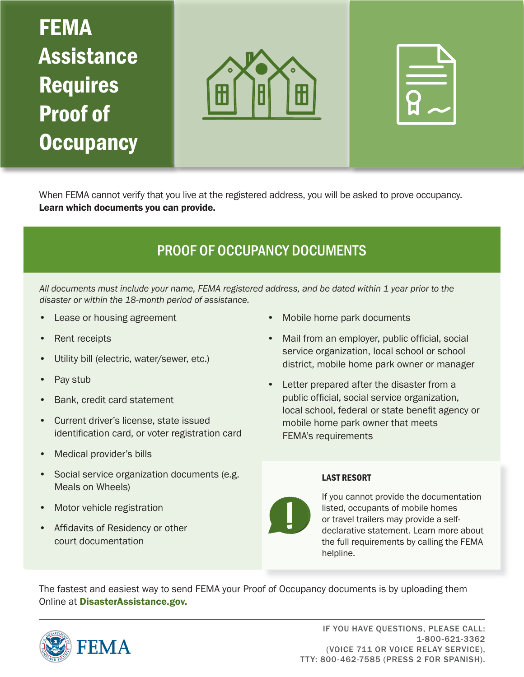# FEMA Assistance Requires Proof of **Occupancy**





When FEMA cannot verify that you live at the registered address, you will be asked to prove occupancy. Learn which documents you can provide.

### PROOF OF OCCUPANCY DOCUMENTS

*All documents must include your name, FEMA registered address, and be dated within 1 year prior to the disaster or within the 18-month period of assistance.*

- Lease or housing agreement
- Rent receipts
- Utility bill (electric, water/sewer, etc.)
- Pay stub
- Bank, credit card statement
- Current driver's license, state issued identification card, or voter registration card
- Medical provider's bills
- Social service organization documents (e.g. Meals on Wheels)
- Motor vehicle registration
- Affidavits of Residency or other court documentation
- Mobile home park documents
- Mail from an employer, public official, social service organization, local school or school district, mobile home park owner or manager
- Letter prepared after the disaster from a public official, social service organization, local school, federal or state benefit agency or mobile home park owner that meets FEMA's requirements

#### LAST RESORT



If you cannot provide the documentation listed, occupants of mobile homes or travel trailers may provide a selfdeclarative statement. Learn more about the full requirements by calling the FEMA helpline.

The fastest and easiest way to send FEMA your Proof of Occupancy documents is by uploading them Online at DisasterAssistance.gov.